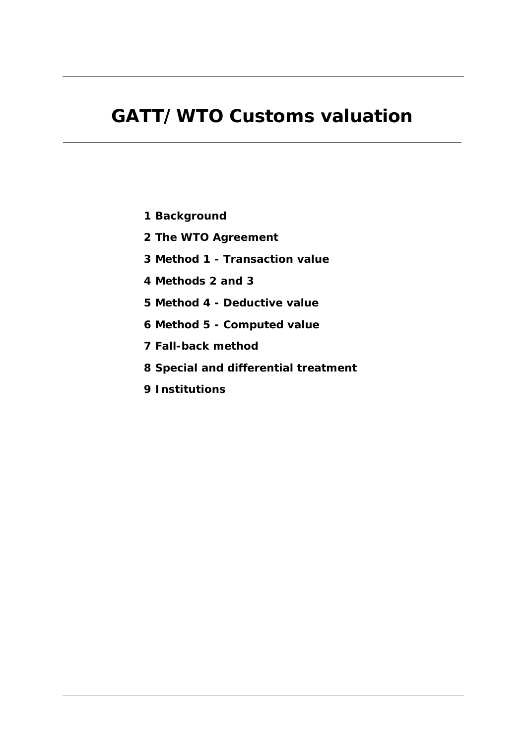# **GATT/WTO Customs valuation**

- **1 Background**
- **2 The WTO Agreement**
- **3 Method 1 Transaction value**
- **4 Methods 2 and 3**
- **5 Method 4 Deductive value**
- **6 Method 5 Computed value**
- **7 Fall-back method**
- **8 Special and differential treatment**
- **9 Institutions**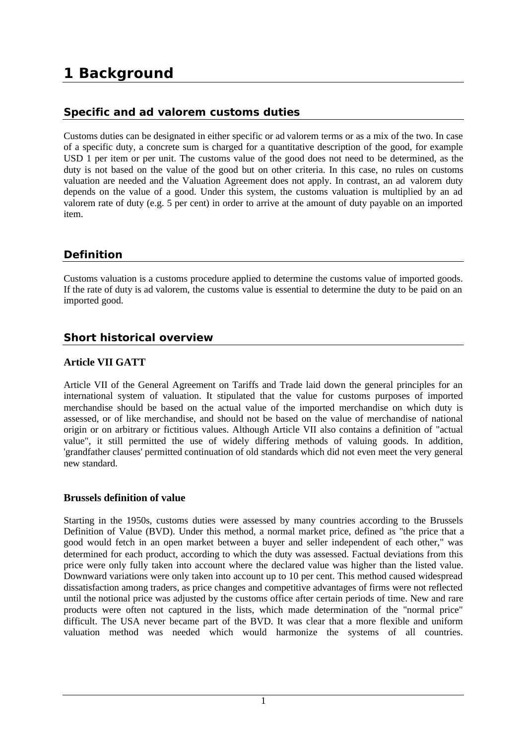# **1 Background**

# **Specific and ad valorem customs duties**

Customs duties can be designated in either specific or ad valorem terms or as a mix of the two. In case of a specific duty, a concrete sum is charged for a quantitative description of the good, for example USD 1 per item or per unit. The customs value of the good does not need to be determined, as the duty is not based on the value of the good but on other criteria. In this case, no rules on customs valuation are needed and the Valuation Agreement does not apply. In contrast, an ad valorem duty depends on the value of a good. Under this system, the customs valuation is multiplied by an ad valorem rate of duty (e.g. 5 per cent) in order to arrive at the amount of duty payable on an imported item.

# **Definition**

Customs valuation is a customs procedure applied to determine the customs value of imported goods. If the rate of duty is ad valorem, the customs value is essential to determine the duty to be paid on an imported good.

# **Short historical overview**

# **Article VII GATT**

Article VII of the General Agreement on Tariffs and Trade laid down the general principles for an international system of valuation. It stipulated that the value for customs purposes of imported merchandise should be based on the actual value of the imported merchandise on which duty is assessed, or of like merchandise, and should not be based on the value of merchandise of national origin or on arbitrary or fictitious values. Although Article VII also contains a definition of "actual value", it still permitted the use of widely differing methods of valuing goods. In addition, 'grandfather clauses' permitted continuation of old standards which did not even meet the very general new standard.

#### **Brussels definition of value**

Starting in the 1950s, customs duties were assessed by many countries according to the Brussels Definition of Value (BVD). Under this method, a normal market price, defined as "the price that a good would fetch in an open market between a buyer and seller independent of each other," was determined for each product, according to which the duty was assessed. Factual deviations from this price were only fully taken into account where the declared value was higher than the listed value. Downward variations were only taken into account up to 10 per cent. This method caused widespread dissatisfaction among traders, as price changes and competitive advantages of firms were not reflected until the notional price was adjusted by the customs office after certain periods of time. New and rare products were often not captured in the lists, which made determination of the "normal price" difficult. The USA never became part of the BVD. It was clear that a more flexible and uniform valuation method was needed which would harmonize the systems of all countries.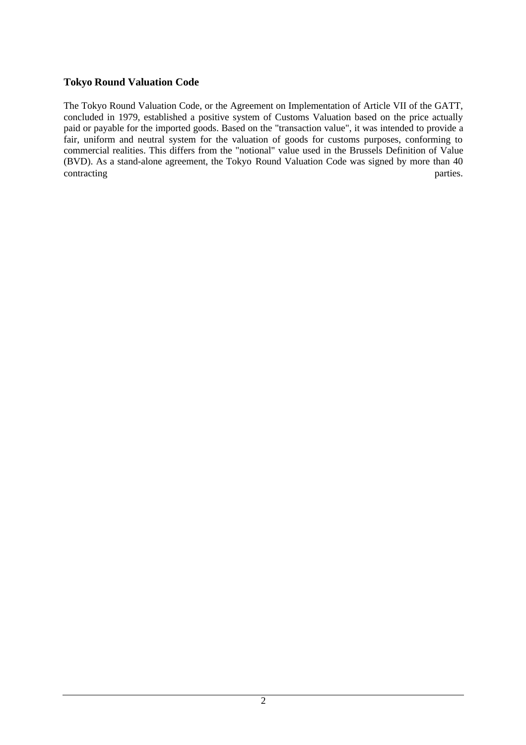#### **Tokyo Round Valuation Code**

The Tokyo Round Valuation Code, or the Agreement on Implementation of Article VII of the GATT, concluded in 1979, established a positive system of Customs Valuation based on the price actually paid or payable for the imported goods. Based on the "transaction value", it was intended to provide a fair, uniform and neutral system for the valuation of goods for customs purposes, conforming to commercial realities. This differs from the "notional" value used in the Brussels Definition of Value (BVD). As a stand-alone agreement, the Tokyo Round Valuation Code was signed by more than 40 contracting parties.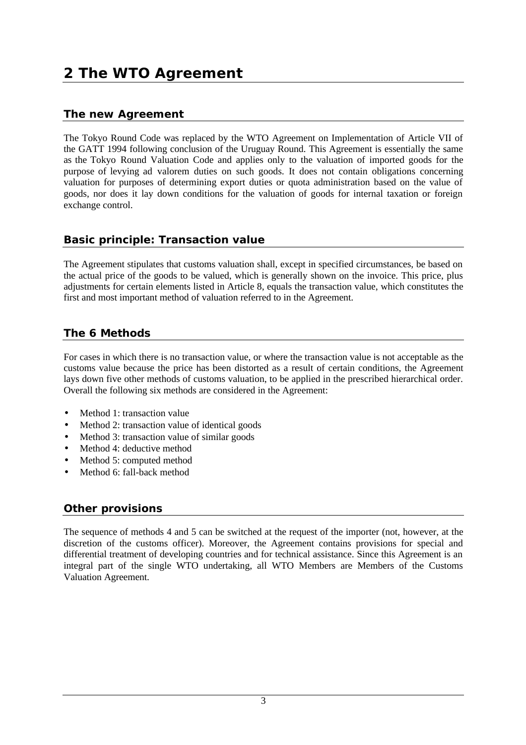# **The new Agreement**

The Tokyo Round Code was replaced by the WTO Agreement on Implementation of Article VII of the GATT 1994 following conclusion of the Uruguay Round. This Agreement is essentially the same as the Tokyo Round Valuation Code and applies only to the valuation of imported goods for the purpose of levying ad valorem duties on such goods. It does not contain obligations concerning valuation for purposes of determining export duties or quota administration based on the value of goods, nor does it lay down conditions for the valuation of goods for internal taxation or foreign exchange control.

# **Basic principle: Transaction value**

The Agreement stipulates that customs valuation shall, except in specified circumstances, be based on the actual price of the goods to be valued, which is generally shown on the invoice. This price, plus adjustments for certain elements listed in Article 8, equals the transaction value, which constitutes the first and most important method of valuation referred to in the Agreement.

# **The 6 Methods**

For cases in which there is no transaction value, or where the transaction value is not acceptable as the customs value because the price has been distorted as a result of certain conditions, the Agreement lays down five other methods of customs valuation, to be applied in the prescribed hierarchical order. Overall the following six methods are considered in the Agreement:

- Method 1: transaction value
- Method 2: transaction value of identical goods
- Method 3: transaction value of similar goods
- Method 4: deductive method
- Method 5: computed method
- Method 6<sup>·</sup> fall-back method

# **Other provisions**

The sequence of methods 4 and 5 can be switched at the request of the importer (not, however, at the discretion of the customs officer). Moreover, the Agreement contains provisions for special and differential treatment of developing countries and for technical assistance. Since this Agreement is an integral part of the single WTO undertaking, all WTO Members are Members of the Customs Valuation Agreement.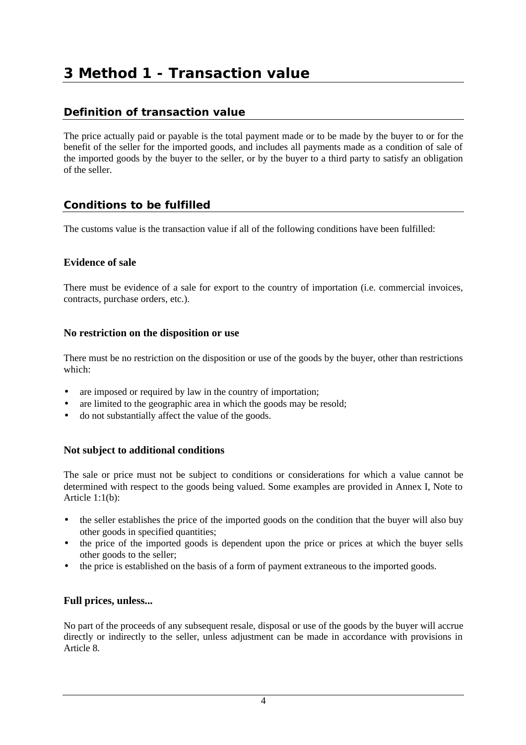# **3 Method 1 - Transaction value**

# **Definition of transaction value**

The price actually paid or payable is the total payment made or to be made by the buyer to or for the benefit of the seller for the imported goods, and includes all payments made as a condition of sale of the imported goods by the buyer to the seller, or by the buyer to a third party to satisfy an obligation of the seller.

# **Conditions to be fulfilled**

The customs value is the transaction value if all of the following conditions have been fulfilled:

## **Evidence of sale**

There must be evidence of a sale for export to the country of importation (i.e. commercial invoices, contracts, purchase orders, etc.).

## **No restriction on the disposition or use**

There must be no restriction on the disposition or use of the goods by the buyer, other than restrictions which:

- are imposed or required by law in the country of importation;
- are limited to the geographic area in which the goods may be resold;
- do not substantially affect the value of the goods.

# **Not subject to additional conditions**

The sale or price must not be subject to conditions or considerations for which a value cannot be determined with respect to the goods being valued. Some examples are provided in Annex I, Note to Article 1:1(b):

- the seller establishes the price of the imported goods on the condition that the buyer will also buy other goods in specified quantities;
- the price of the imported goods is dependent upon the price or prices at which the buyer sells other goods to the seller;
- the price is established on the basis of a form of payment extraneous to the imported goods.

#### **Full prices, unless...**

No part of the proceeds of any subsequent resale, disposal or use of the goods by the buyer will accrue directly or indirectly to the seller, unless adjustment can be made in accordance with provisions in Article 8.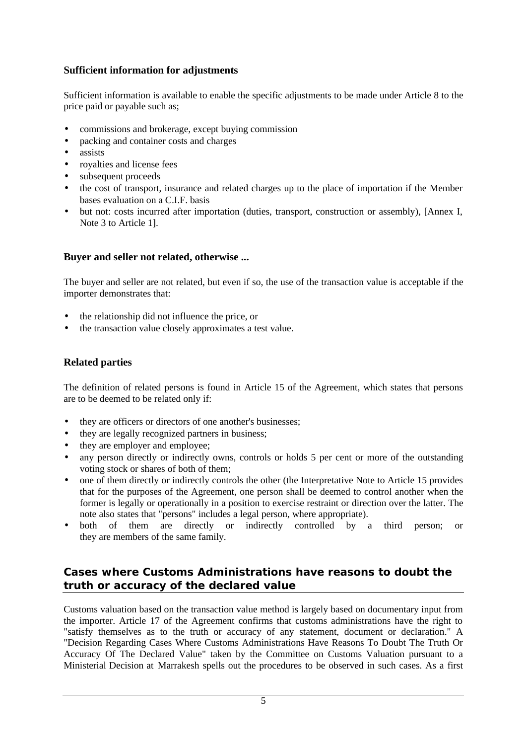## **Sufficient information for adjustments**

Sufficient information is available to enable the specific adjustments to be made under Article 8 to the price paid or payable such as;

- commissions and brokerage, except buying commission
- packing and container costs and charges
- assists
- royalties and license fees
- subsequent proceeds
- the cost of transport, insurance and related charges up to the place of importation if the Member bases evaluation on a C.I.F. basis
- but not: costs incurred after importation (duties, transport, construction or assembly), [Annex I, Note 3 to Article 1].

## **Buyer and seller not related, otherwise ...**

The buyer and seller are not related, but even if so, the use of the transaction value is acceptable if the importer demonstrates that:

- the relationship did not influence the price, or
- the transaction value closely approximates a test value.

## **Related parties**

The definition of related persons is found in Article 15 of the Agreement, which states that persons are to be deemed to be related only if:

- they are officers or directors of one another's businesses;
- they are legally recognized partners in business;
- they are employer and employee;
- any person directly or indirectly owns, controls or holds 5 per cent or more of the outstanding voting stock or shares of both of them;
- one of them directly or indirectly controls the other (the Interpretative Note to Article 15 provides that for the purposes of the Agreement, one person shall be deemed to control another when the former is legally or operationally in a position to exercise restraint or direction over the latter. The note also states that "persons" includes a legal person, where appropriate).
- both of them are directly or indirectly controlled by a third person; or they are members of the same family.

# **Cases where Customs Administrations have reasons to doubt the truth or accuracy of the declared value**

Customs valuation based on the transaction value method is largely based on documentary input from the importer. Article 17 of the Agreement confirms that customs administrations have the right to "satisfy themselves as to the truth or accuracy of any statement, document or declaration." A "Decision Regarding Cases Where Customs Administrations Have Reasons To Doubt The Truth Or Accuracy Of The Declared Value" taken by the Committee on Customs Valuation pursuant to a Ministerial Decision at Marrakesh spells out the procedures to be observed in such cases. As a first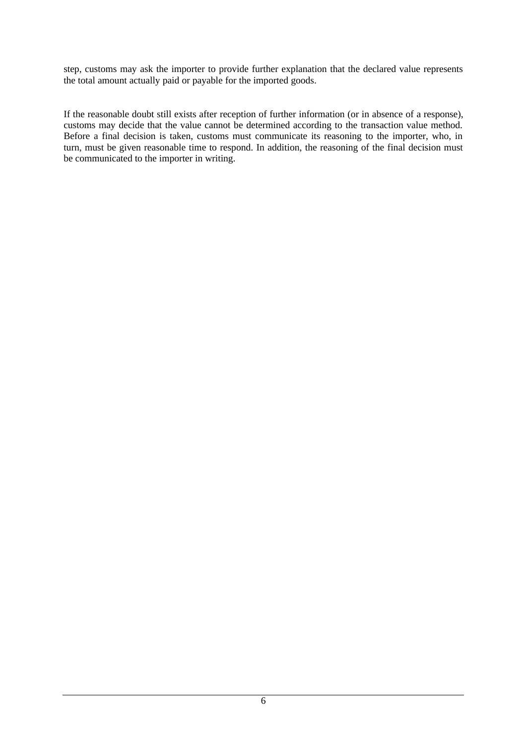step, customs may ask the importer to provide further explanation that the declared value represents the total amount actually paid or payable for the imported goods.

If the reasonable doubt still exists after reception of further information (or in absence of a response), customs may decide that the value cannot be determined according to the transaction value method. Before a final decision is taken, customs must communicate its reasoning to the importer, who, in turn, must be given reasonable time to respond. In addition, the reasoning of the final decision must be communicated to the importer in writing.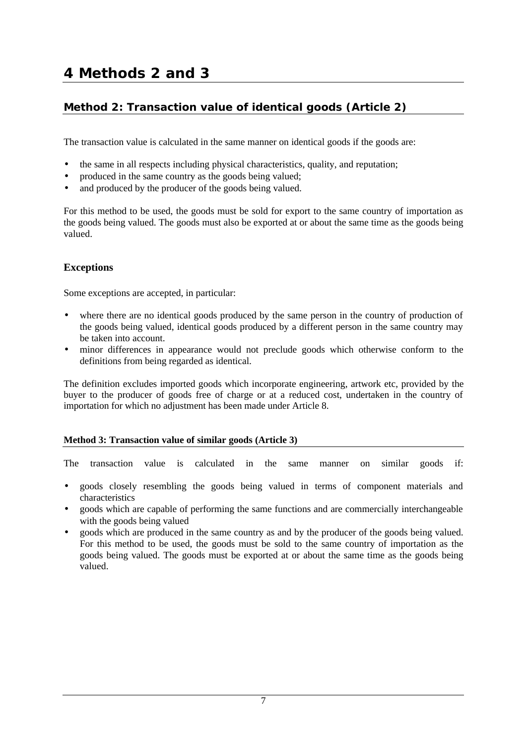# **4 Methods 2 and 3**

# **Method 2: Transaction value of identical goods (Article 2)**

The transaction value is calculated in the same manner on identical goods if the goods are:

- the same in all respects including physical characteristics, quality, and reputation;
- produced in the same country as the goods being valued;
- and produced by the producer of the goods being valued.

For this method to be used, the goods must be sold for export to the same country of importation as the goods being valued. The goods must also be exported at or about the same time as the goods being valued.

## **Exceptions**

Some exceptions are accepted, in particular:

- where there are no identical goods produced by the same person in the country of production of the goods being valued, identical goods produced by a different person in the same country may be taken into account.
- minor differences in appearance would not preclude goods which otherwise conform to the definitions from being regarded as identical.

The definition excludes imported goods which incorporate engineering, artwork etc, provided by the buyer to the producer of goods free of charge or at a reduced cost, undertaken in the country of importation for which no adjustment has been made under Article 8.

#### **Method 3: Transaction value of similar goods (Article 3)**

The transaction value is calculated in the same manner on similar goods if:

- goods closely resembling the goods being valued in terms of component materials and characteristics
- goods which are capable of performing the same functions and are commercially interchangeable with the goods being valued
- goods which are produced in the same country as and by the producer of the goods being valued. For this method to be used, the goods must be sold to the same country of importation as the goods being valued. The goods must be exported at or about the same time as the goods being valued.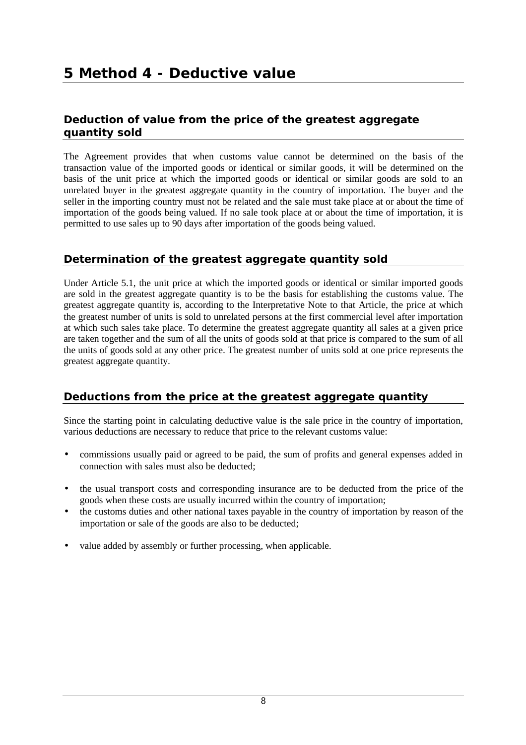# **Deduction of value from the price of the greatest aggregate quantity sold**

The Agreement provides that when customs value cannot be determined on the basis of the transaction value of the imported goods or identical or similar goods, it will be determined on the basis of the unit price at which the imported goods or identical or similar goods are sold to an unrelated buyer in the greatest aggregate quantity in the country of importation. The buyer and the seller in the importing country must not be related and the sale must take place at or about the time of importation of the goods being valued. If no sale took place at or about the time of importation, it is permitted to use sales up to 90 days after importation of the goods being valued.

# **Determination of the greatest aggregate quantity sold**

Under Article 5.1, the unit price at which the imported goods or identical or similar imported goods are sold in the greatest aggregate quantity is to be the basis for establishing the customs value. The greatest aggregate quantity is, according to the Interpretative Note to that Article, the price at which the greatest number of units is sold to unrelated persons at the first commercial level after importation at which such sales take place. To determine the greatest aggregate quantity all sales at a given price are taken together and the sum of all the units of goods sold at that price is compared to the sum of all the units of goods sold at any other price. The greatest number of units sold at one price represents the greatest aggregate quantity.

# **Deductions from the price at the greatest aggregate quantity**

Since the starting point in calculating deductive value is the sale price in the country of importation, various deductions are necessary to reduce that price to the relevant customs value:

- commissions usually paid or agreed to be paid, the sum of profits and general expenses added in connection with sales must also be deducted;
- the usual transport costs and corresponding insurance are to be deducted from the price of the goods when these costs are usually incurred within the country of importation;
- the customs duties and other national taxes payable in the country of importation by reason of the importation or sale of the goods are also to be deducted;
- value added by assembly or further processing, when applicable.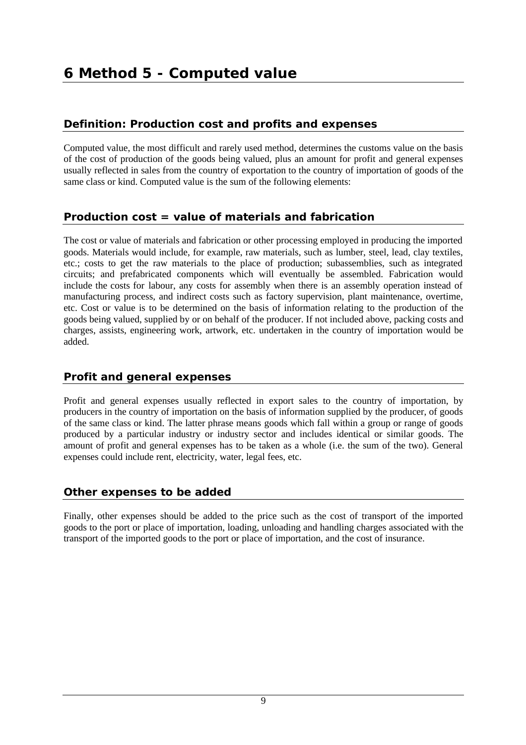# **Definition: Production cost and profits and expenses**

Computed value, the most difficult and rarely used method, determines the customs value on the basis of the cost of production of the goods being valued, plus an amount for profit and general expenses usually reflected in sales from the country of exportation to the country of importation of goods of the same class or kind. Computed value is the sum of the following elements:

# **Production cost = value of materials and fabrication**

The cost or value of materials and fabrication or other processing employed in producing the imported goods. Materials would include, for example, raw materials, such as lumber, steel, lead, clay textiles, etc.; costs to get the raw materials to the place of production; subassemblies, such as integrated circuits; and prefabricated components which will eventually be assembled. Fabrication would include the costs for labour, any costs for assembly when there is an assembly operation instead of manufacturing process, and indirect costs such as factory supervision, plant maintenance, overtime, etc. Cost or value is to be determined on the basis of information relating to the production of the goods being valued, supplied by or on behalf of the producer. If not included above, packing costs and charges, assists, engineering work, artwork, etc. undertaken in the country of importation would be added.

# **Profit and general expenses**

Profit and general expenses usually reflected in export sales to the country of importation, by producers in the country of importation on the basis of information supplied by the producer, of goods of the same class or kind. The latter phrase means goods which fall within a group or range of goods produced by a particular industry or industry sector and includes identical or similar goods. The amount of profit and general expenses has to be taken as a whole (i.e. the sum of the two). General expenses could include rent, electricity, water, legal fees, etc.

# **Other expenses to be added**

Finally, other expenses should be added to the price such as the cost of transport of the imported goods to the port or place of importation, loading, unloading and handling charges associated with the transport of the imported goods to the port or place of importation, and the cost of insurance.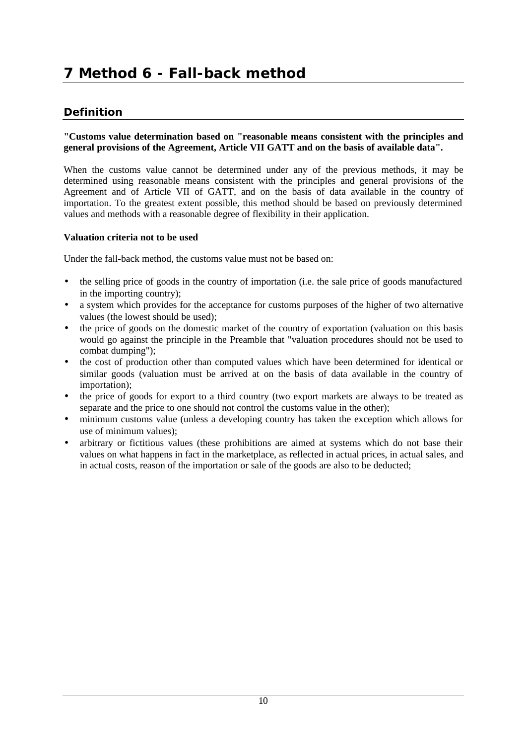# **Definition**

#### **"Customs value determination based on "reasonable means consistent with the principles and general provisions of the Agreement, Article VII GATT and on the basis of available data".**

When the customs value cannot be determined under any of the previous methods, it may be determined using reasonable means consistent with the principles and general provisions of the Agreement and of Article VII of GATT, and on the basis of data available in the country of importation. To the greatest extent possible, this method should be based on previously determined values and methods with a reasonable degree of flexibility in their application.

#### **Valuation criteria not to be used**

Under the fall-back method, the customs value must not be based on:

- the selling price of goods in the country of importation (i.e. the sale price of goods manufactured in the importing country);
- a system which provides for the acceptance for customs purposes of the higher of two alternative values (the lowest should be used);
- the price of goods on the domestic market of the country of exportation (valuation on this basis would go against the principle in the Preamble that "valuation procedures should not be used to combat dumping");
- the cost of production other than computed values which have been determined for identical or similar goods (valuation must be arrived at on the basis of data available in the country of importation);
- the price of goods for export to a third country (two export markets are always to be treated as separate and the price to one should not control the customs value in the other);
- minimum customs value (unless a developing country has taken the exception which allows for use of minimum values);
- arbitrary or fictitious values (these prohibitions are aimed at systems which do not base their values on what happens in fact in the marketplace, as reflected in actual prices, in actual sales, and in actual costs, reason of the importation or sale of the goods are also to be deducted;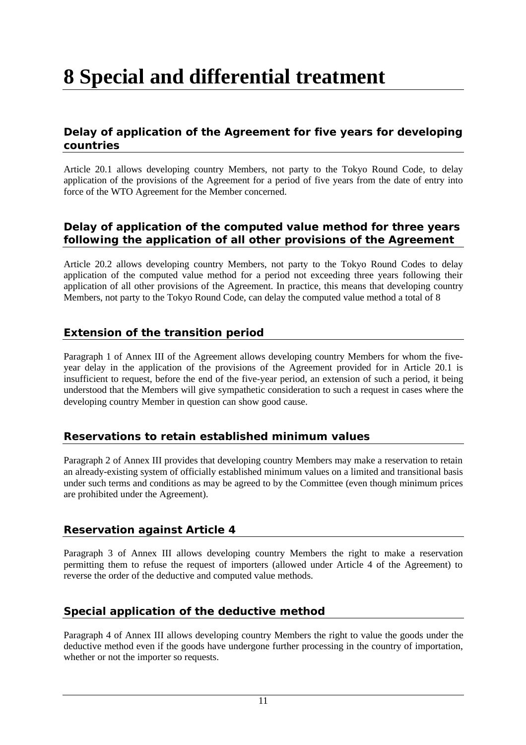# **8 Special and differential treatment**

# **Delay of application of the Agreement for five years for developing countries**

Article 20.1 allows developing country Members, not party to the Tokyo Round Code, to delay application of the provisions of the Agreement for a period of five years from the date of entry into force of the WTO Agreement for the Member concerned.

# **Delay of application of the computed value method for three years following the application of all other provisions of the Agreement**

Article 20.2 allows developing country Members, not party to the Tokyo Round Codes to delay application of the computed value method for a period not exceeding three years following their application of all other provisions of the Agreement. In practice, this means that developing country Members, not party to the Tokyo Round Code, can delay the computed value method a total of 8

# **Extension of the transition period**

Paragraph 1 of Annex III of the Agreement allows developing country Members for whom the fiveyear delay in the application of the provisions of the Agreement provided for in Article 20.1 is insufficient to request, before the end of the five-year period, an extension of such a period, it being understood that the Members will give sympathetic consideration to such a request in cases where the developing country Member in question can show good cause.

# **Reservations to retain established minimum values**

Paragraph 2 of Annex III provides that developing country Members may make a reservation to retain an already-existing system of officially established minimum values on a limited and transitional basis under such terms and conditions as may be agreed to by the Committee (even though minimum prices are prohibited under the Agreement).

# **Reservation against Article 4**

Paragraph 3 of Annex III allows developing country Members the right to make a reservation permitting them to refuse the request of importers (allowed under Article 4 of the Agreement) to reverse the order of the deductive and computed value methods.

# **Special application of the deductive method**

Paragraph 4 of Annex III allows developing country Members the right to value the goods under the deductive method even if the goods have undergone further processing in the country of importation, whether or not the importer so requests.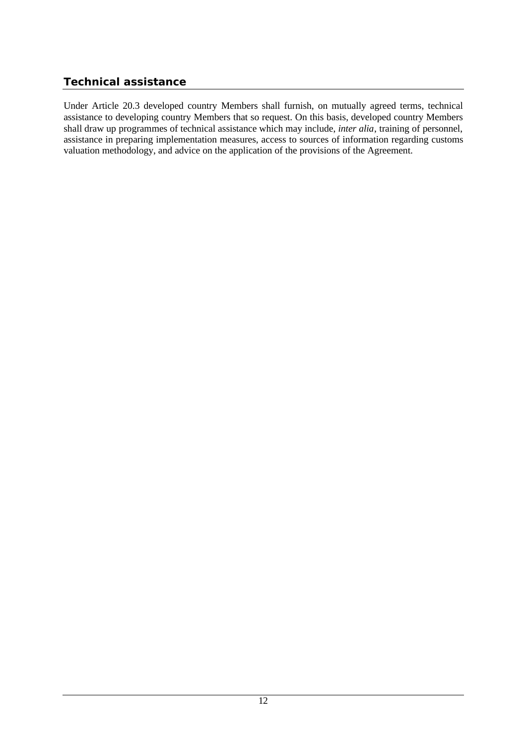# **Technical assistance**

Under Article 20.3 developed country Members shall furnish, on mutually agreed terms, technical assistance to developing country Members that so request. On this basis, developed country Members shall draw up programmes of technical assistance which may include, *inter alia*, training of personnel, assistance in preparing implementation measures, access to sources of information regarding customs valuation methodology, and advice on the application of the provisions of the Agreement.